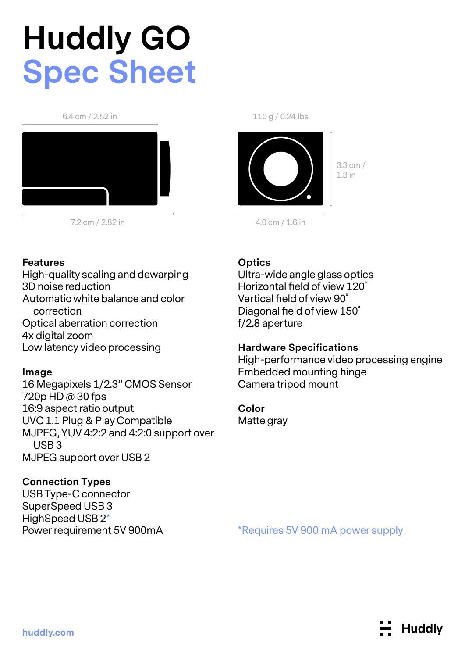# **Huddly GO Spec Sheet**

6.4 cm / 2.52 in



7.2 cm / 2.82 in

#### **Features**

High-quality scaling and dewarping 3D noise reduction Automatic white balance and color correction Optical aberration correction 4x digital zoom Low latency video processing

### **Image**

16 Megapixels 1/2.3" CMOS Sensor 720p HD @ 30 fps 16:9 aspect ratio output UVC 1.1 Plug & Play Compatible MJPEG, YUV 4:2:2 and 4:2:0 support over USB 3 MJPEG support over USB 2

# **Connection Types**

USB Type-C connector SuperSpeed USB 3 HighSpeed USB 2\* Power requirement 5V 900mA 110 g / 0.24 lbs



3.3 cm / 1.3 in

4.0 cm / 1.6 in

# **Optics**

Ultra-wide angle glass optics Horizontal field of view 120˚ Vertical field of view 90˚ Diagonal field of view 150˚ f/2.8 aperture

### **Hardware Specifications**

High-performance video processing engine Embedded mounting hinge Camera tripod mount

#### **Color**

Matte gray

\*Requires 5V 900 mA power supply